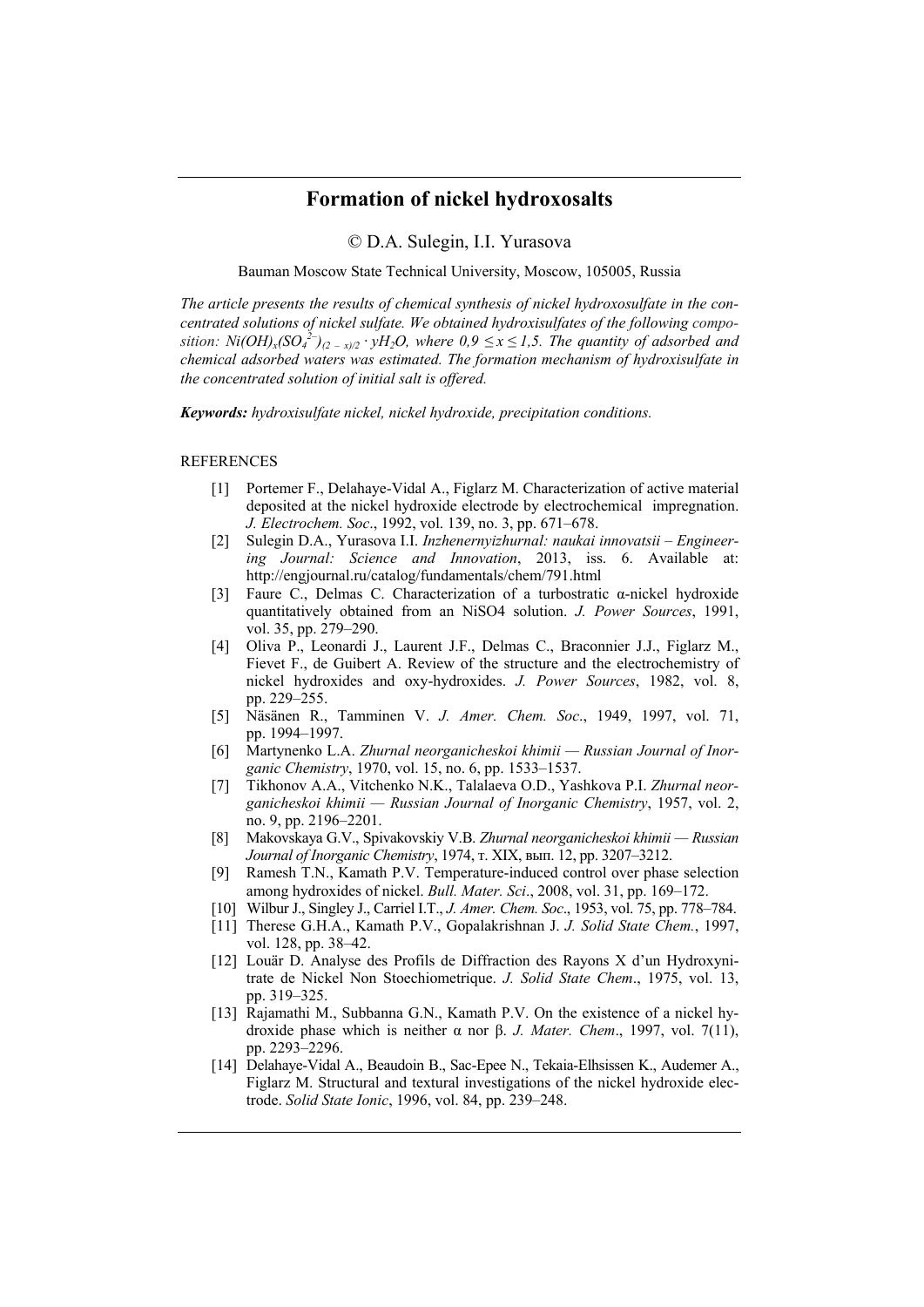## **Formation of nickel hydroxosalts**

© D.A. Sulegin, I.I. Yurasova

Bauman Moscow State Technical University, Moscow, 105005, Russia

*The article presents the results of chemical synthesis of nickel hydroxosulfate in the concentrated solutions of nickel sulfate. We obtained hydroxisulfates of the following composition:*  $Ni(OH)_x(SO_4^{2-})_{(2-x)/2} \cdot yH_2O$ , where  $0.9 \le x \le 1.5$ . The quantity of adsorbed and *chemical adsorbed waters was estimated. The formation mechanism of hydroxisulfate in the concentrated solution of initial salt is offered.* 

*Keywords: hydroxisulfate nickel, nickel hydroxide, precipitation conditions.* 

## REFERENCES

- [1] Portemer F., Delahaye-Vidal A., Figlarz M. Characterization of active material deposited at the nickel hydroxide electrode by electrochemical impregnation. *J. Electrochem. Soc*., 1992, vol. 139, no. 3, pp. 671–678.
- [2] Sulegin D.A., Yurasova I.I. *Inzhenernyizhurnal: naukai innovatsii Engineering Journal: Science and Innovation*, 2013, iss. 6. Available at: http://engjournal.ru/catalog/fundamentals/chem/791.html
- [3] Faure C., Dеlmas C. Characterization of a turbostratic α-nickel hydroxide quantitatively obtained from an NiSO4 solution. *J. Power Sources*, 1991, vol. 35, pp. 279–290.
- [4] Oliva P., Leonardi J., Laurent J.F., Delmas C., Braconnier J.J., Figlarz M., Fievet F., de Guibert A. Review of the structure and the electrochemistry of nickel hydroxides and oxy-hydroxides. *J. Power Sources*, 1982, vol. 8, pp. 229–255.
- [5] Näsänen R., Tamminen V. *J. Amer. Chem. Soc*., 1949, 1997, vol. 71, pp. 1994–1997.
- [6] Martynenko L.A. *Zhurnal neorganicheskoi khimii Russian Journal of Inorganic Chemistry*, 1970, vol. 15, no. 6, pp. 1533–1537.
- [7] Tikhonov A.A., Vitchenko N.K., Talalaeva O.D., Yashkova P.I. *Zhurnal neorganicheskoi khimii — Russian Journal of Inorganic Chemistry*, 1957, vol. 2, no. 9, pp. 2196–2201.
- [8] Makovskaya G.V., Spivakovskiy V.B. *Zhurnal neorganicheskoi khimii Russian Journal of Inorganic Chemistry*, 1974, т. XIX, вып. 12, pp. 3207–3212.
- [9] Ramesh T.N., Kamath P.V. Temperature-induced control over phase selection among hydroxides of nickel. *Bull. Mater. Sci*., 2008, vol. 31, pp. 169–172.
- [10] Wilbur J., Singley J., Carriel I.T., *J. Amer. Chem. Soc*., 1953, vol. 75, pp. 778–784.
- [11] Therese G.H.A., Kamath P.V., Gopalakrishnan J. *J. Solid State Chem.*, 1997, vol. 128, pp. 38–42.
- [12] Louär D. Analyse des Profils de Diffraction des Rayons X d'un Hydroxynitrate de Nickel Non Stoechiometrique. *J. Solid State Chem*., 1975, vol. 13, pp. 319–325.
- [13] Rajamathi M., Subbanna G.N., Kamath P.V. On the existence of a nickel hydroxide phase which is neither α nor β. *J. Mater. Chem*., 1997, vol. 7(11), pp. 2293–2296.
- [14] Delahaye-Vidal A., Beaudoin B., Sac-Epee N., Tekaia-Elhsissen K., Audemer A., Figlarz M. Structural and textural investigations of the nickel hydroxide electrode. *Solid State Ionic*, 1996, vol. 84, pp. 239–248.